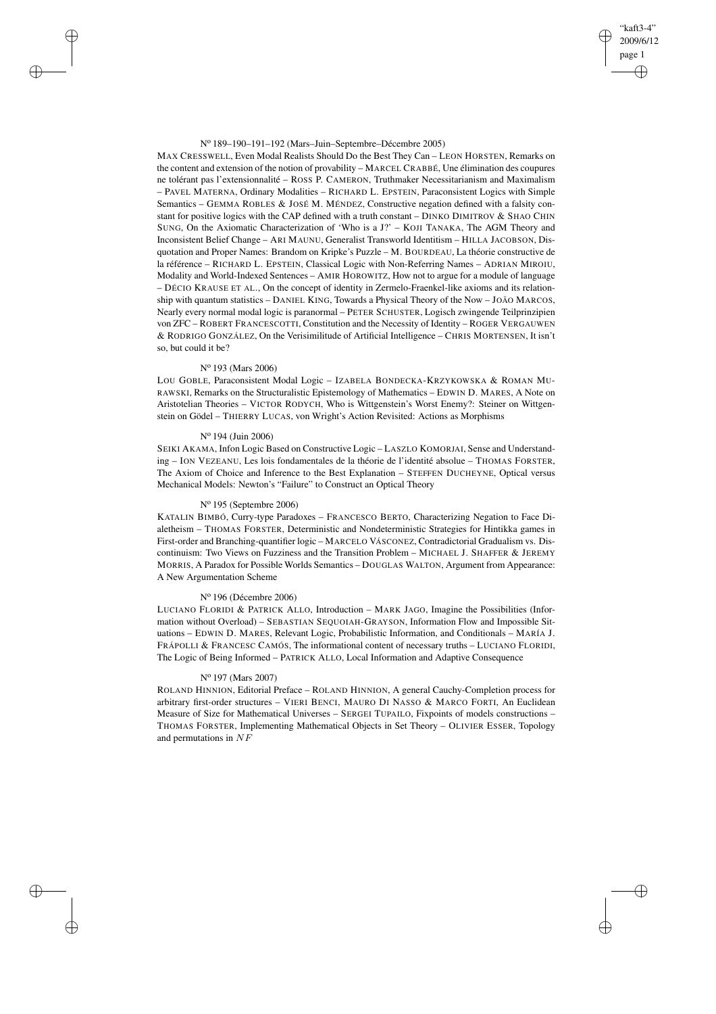### N<sup>o</sup> 189–190–191–192 (Mars–Juin–Septembre–Décembre 2005)

MAX CRESSWELL, Even Modal Realists Should Do the Best They Can – LEON HORSTEN, Remarks on the content and extension of the notion of provability – MARCEL CRABBÉ, Une élimination des coupures ne tolérant pas l'extensionnalité – ROSS P. CAMERON, Truthmaker Necessitarianism and Maximalism – PAVEL MATERNA, Ordinary Modalities – RICHARD L. EPSTEIN, Paraconsistent Logics with Simple Semantics – GEMMA ROBLES & JOSÉ M. MÉNDEZ, Constructive negation defined with a falsity constant for positive logics with the CAP defined with a truth constant – DINKO DIMITROV & SHAO CHIN SUNG, On the Axiomatic Characterization of 'Who is a J?' – KOJI TANAKA, The AGM Theory and Inconsistent Belief Change – ARI MAUNU, Generalist Transworld Identitism – HILLA JACOBSON, Disquotation and Proper Names: Brandom on Kripke's Puzzle – M. BOURDEAU, La théorie constructive de la référence – RICHARD L. EPSTEIN, Classical Logic with Non-Referring Names – ADRIAN MIROIU, Modality and World-Indexed Sentences – AMIR HOROWITZ, How not to argue for a module of language – DÉCIO KRAUSE ET AL., On the concept of identity in Zermelo-Fraenkel-like axioms and its relationship with quantum statistics – DANIEL KING, Towards a Physical Theory of the Now – JOÃO MARCOS, Nearly every normal modal logic is paranormal – PETER SCHUSTER, Logisch zwingende Teilprinzipien von ZFC – ROBERT FRANCESCOTTI, Constitution and the Necessity of Identity – ROGER VERGAUWEN & RODRIGO GONZÁLEZ, On the Verisimilitude of Artificial Intelligence – CHRIS MORTENSEN, It isn't so, but could it be?

"kaft3-4" 2009/6/12 page 1

✐

✐

✐

✐

# N<sup>o</sup> 193 (Mars 2006)

✐

✐

✐

✐

LOU GOBLE, Paraconsistent Modal Logic – IZABELA BONDECKA-KRZYKOWSKA & ROMAN MU-RAWSKI, Remarks on the Structuralistic Epistemology of Mathematics – EDWIN D. MARES, A Note on Aristotelian Theories – VICTOR RODYCH, Who is Wittgenstein's Worst Enemy?: Steiner on Wittgenstein on Gödel – THIERRY LUCAS, von Wright's Action Revisited: Actions as Morphisms

### N<sup>o</sup> 194 (Juin 2006)

SEIKI AKAMA, Infon Logic Based on Constructive Logic – LASZLO KOMORJAI, Sense and Understanding – ION VEZEANU, Les lois fondamentales de la théorie de l'identité absolue – THOMAS FORSTER, The Axiom of Choice and Inference to the Best Explanation – STEFFEN DUCHEYNE, Optical versus Mechanical Models: Newton's "Failure" to Construct an Optical Theory

## N<sup>o</sup> 195 (Septembre 2006)

KATALIN BIMBÓ, Curry-type Paradoxes – FRANCESCO BERTO, Characterizing Negation to Face Dialetheism – THOMAS FORSTER, Deterministic and Nondeterministic Strategies for Hintikka games in First-order and Branching-quantifier logic – MARCELO VÁSCONEZ, Contradictorial Gradualism vs. Discontinuism: Two Views on Fuzziness and the Transition Problem – MICHAEL J. SHAFFER & JEREMY MORRIS, A Paradox for Possible Worlds Semantics – DOUGLAS WALTON, Argument from Appearance: A New Argumentation Scheme

## N<sup>o</sup> 196 (Décembre 2006)

LUCIANO FLORIDI & PATRICK ALLO, Introduction – MARK JAGO, Imagine the Possibilities (Information without Overload) – SEBASTIAN SEQUOIAH-GRAYSON, Information Flow and Impossible Situations – EDWIN D. MARES, Relevant Logic, Probabilistic Information, and Conditionals – MARÍA J. FRÁPOLLI & FRANCESC CAMÓS, The informational content of necessary truths – LUCIANO FLORIDI, The Logic of Being Informed – PATRICK ALLO, Local Information and Adaptive Consequence

## N<sup>o</sup> 197 (Mars 2007)

ROLAND HINNION, Editorial Preface – ROLAND HINNION, A general Cauchy-Completion process for arbitrary first-order structures – VIERI BENCI, MAURO DI NASSO & MARCO FORTI, An Euclidean Measure of Size for Mathematical Universes – SERGEI TUPAILO, Fixpoints of models constructions – THOMAS FORSTER, Implementing Mathematical Objects in Set Theory – OLIVIER ESSER, Topology and permutations in NF